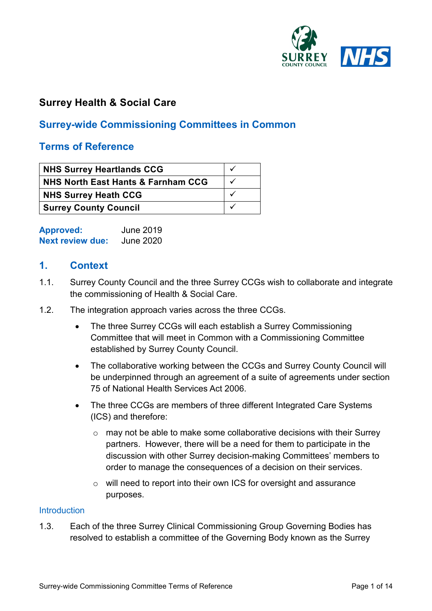

### **Surrey Health & Social Care**

### **Surrey-wide Commissioning Committees in Common**

#### **Terms of Reference**

| NHS Surrey Heartlands CCG          |  |
|------------------------------------|--|
| NHS North East Hants & Farnham CCG |  |
| NHS Surrey Heath CCG               |  |
| <b>Surrey County Council</b>       |  |

| <b>Approved:</b>        | <b>June 2019</b> |
|-------------------------|------------------|
| <b>Next review due:</b> | <b>June 2020</b> |

#### **1. Context**

- 1.1. Surrey County Council and the three Surrey CCGs wish to collaborate and integrate the commissioning of Health & Social Care.
- 1.2. The integration approach varies across the three CCGs.
	- The three Surrey CCGs will each establish a Surrey Commissioning Committee that will meet in Common with a Commissioning Committee established by Surrey County Council.
	- The collaborative working between the CCGs and Surrey County Council will be underpinned through an agreement of a suite of agreements under section 75 of National Health Services Act 2006.
	- The three CCGs are members of three different Integrated Care Systems (ICS) and therefore:
		- $\circ$  may not be able to make some collaborative decisions with their Surrey partners. However, there will be a need for them to participate in the discussion with other Surrey decision-making Committees' members to order to manage the consequences of a decision on their services.
		- o will need to report into their own ICS for oversight and assurance purposes.

#### **Introduction**

1.3. Each of the three Surrey Clinical Commissioning Group Governing Bodies has resolved to establish a committee of the Governing Body known as the Surrey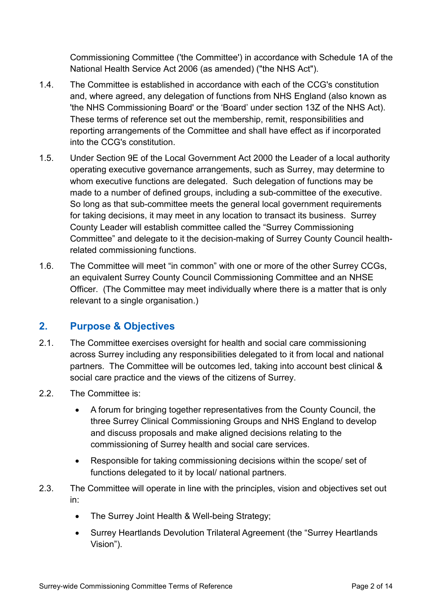Commissioning Committee ('the Committee') in accordance with Schedule 1A of the National Health Service Act 2006 (as amended) ("the NHS Act").

- 1.4. The Committee is established in accordance with each of the CCG's constitution and, where agreed, any delegation of functions from NHS England (also known as 'the NHS Commissioning Board' or the 'Board' under section 13Z of the NHS Act). These terms of reference set out the membership, remit, responsibilities and reporting arrangements of the Committee and shall have effect as if incorporated into the CCG's constitution.
- 1.5. Under Section 9E of the Local Government Act 2000 the Leader of a local authority operating executive governance arrangements, such as Surrey, may determine to whom executive functions are delegated. Such delegation of functions may be made to a number of defined groups, including a sub-committee of the executive. So long as that sub-committee meets the general local government requirements for taking decisions, it may meet in any location to transact its business. Surrey County Leader will establish committee called the "Surrey Commissioning Committee" and delegate to it the decision-making of Surrey County Council healthrelated commissioning functions.
- 1.6. The Committee will meet "in common" with one or more of the other Surrey CCGs, an equivalent Surrey County Council Commissioning Committee and an NHSE Officer. (The Committee may meet individually where there is a matter that is only relevant to a single organisation.)

### **2. Purpose & Objectives**

- 2.1. The Committee exercises oversight for health and social care commissioning across Surrey including any responsibilities delegated to it from local and national partners. The Committee will be outcomes led, taking into account best clinical & social care practice and the views of the citizens of Surrey.
- 2.2. The Committee is:
	- A forum for bringing together representatives from the County Council, the three Surrey Clinical Commissioning Groups and NHS England to develop and discuss proposals and make aligned decisions relating to the commissioning of Surrey health and social care services.
	- Responsible for taking commissioning decisions within the scope/ set of functions delegated to it by local/ national partners.
- 2.3. The Committee will operate in line with the principles, vision and objectives set out in:
	- The Surrey Joint Health & Well-being Strategy;
	- Surrey Heartlands Devolution Trilateral Agreement (the "Surrey Heartlands Vision").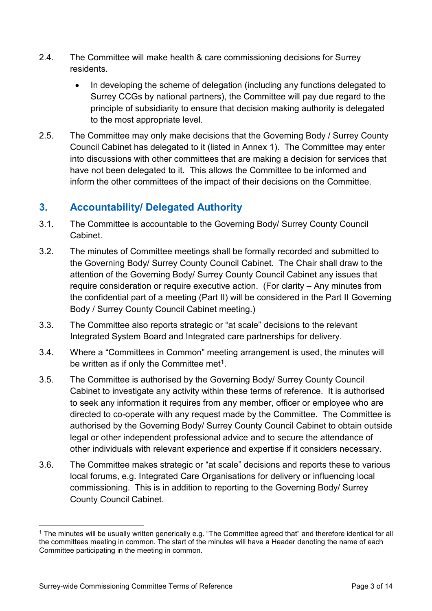- 2.4. The Committee will make health & care commissioning decisions for Surrey residents.
	- In developing the scheme of delegation (including any functions delegated to Surrey CCGs by national partners), the Committee will pay due regard to the principle of subsidiarity to ensure that decision making authority is delegated to the most appropriate level.
- 2.5. The Committee may only make decisions that the Governing Body / Surrey County Council Cabinet has delegated to it (listed in [Annex 1\)](#page-3-0). The Committee may enter into discussions with other committees that are making a decision for services that have not been delegated to it. This allows the Committee to be informed and inform the other committees of the impact of their decisions on the Committee.

## **3. Accountability/ Delegated Authority**

- 3.1. The Committee is accountable to the Governing Body/ Surrey County Council Cabinet.
- 3.2. The minutes of Committee meetings shall be formally recorded and submitted to the Governing Body/ Surrey County Council Cabinet. The Chair shall draw to the attention of the Governing Body/ Surrey County Council Cabinet any issues that require consideration or require executive action. (For clarity – Any minutes from the confidential part of a meeting (Part II) will be considered in the Part II Governing Body / Surrey County Council Cabinet meeting.)
- 3.3. The Committee also reports strategic or "at scale" decisions to the relevant Integrated System Board and Integrated care partnerships for delivery.
- 3.4. Where a "Committees in Common" meeting arrangement is used, the minutes will be written as if only the Committee met**[1](#page-2-0)**.
- 3.5. The Committee is authorised by the Governing Body/ Surrey County Council Cabinet to investigate any activity within these terms of reference. It is authorised to seek any information it requires from any member, officer or employee who are directed to co-operate with any request made by the Committee. The Committee is authorised by the Governing Body/ Surrey County Council Cabinet to obtain outside legal or other independent professional advice and to secure the attendance of other individuals with relevant experience and expertise if it considers necessary.
- 3.6. The Committee makes strategic or "at scale" decisions and reports these to various local forums, e.g. Integrated Care Organisations for delivery or influencing local commissioning. This is in addition to reporting to the Governing Body/ Surrey County Council Cabinet.

<span id="page-2-0"></span><sup>&</sup>lt;sup>1</sup> The minutes will be usually written generically e.g. "The Committee agreed that" and therefore identical for all the committees meeting in common. The start of the minutes will have a Header denoting the name of each Committee participating in the meeting in common.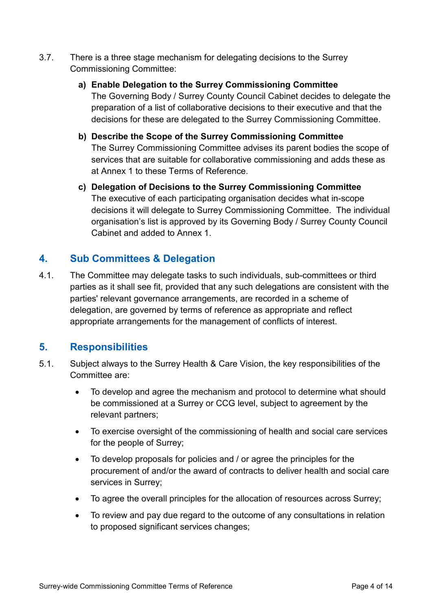- 3.7. There is a three stage mechanism for delegating decisions to the Surrey Commissioning Committee:
	- **a) Enable Delegation to the Surrey Commissioning Committee** The Governing Body / Surrey County Council Cabinet decides to delegate the preparation of a list of collaborative decisions to their executive and that the decisions for these are delegated to the Surrey Commissioning Committee.
	- **b) Describe the Scope of the Surrey Commissioning Committee** The Surrey Commissioning Committee advises its parent bodies the scope of services that are suitable for collaborative commissioning and adds these as at [Annex 1](#page-3-0) to these Terms of Reference.
	- **c) Delegation of Decisions to the Surrey Commissioning Committee** The executive of each participating organisation decides what in-scope decisions it will delegate to Surrey Commissioning Committee. The individual organisation's list is approved by its Governing Body / Surrey County Council Cabinet and added to Annex 1.

### <span id="page-3-0"></span>**4. Sub Committees & Delegation**

4.1. The Committee may delegate tasks to such individuals, sub-committees or third parties as it shall see fit, provided that any such delegations are consistent with the parties' relevant governance arrangements, are recorded in a scheme of delegation, are governed by terms of reference as appropriate and reflect appropriate arrangements for the management of conflicts of interest.

### **5. Responsibilities**

- 5.1. Subject always to the Surrey Health & Care Vision, the key responsibilities of the Committee are:
	- To develop and agree the mechanism and protocol to determine what should be commissioned at a Surrey or CCG level, subject to agreement by the relevant partners;
	- To exercise oversight of the commissioning of health and social care services for the people of Surrey;
	- To develop proposals for policies and / or agree the principles for the procurement of and/or the award of contracts to deliver health and social care services in Surrey;
	- To agree the overall principles for the allocation of resources across Surrey;
	- To review and pay due regard to the outcome of any consultations in relation to proposed significant services changes;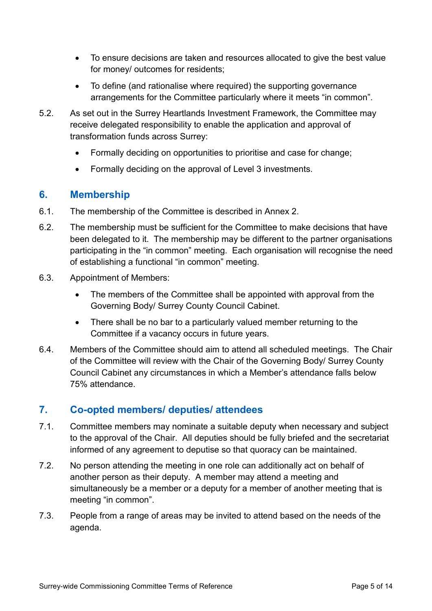- To ensure decisions are taken and resources allocated to give the best value for money/ outcomes for residents;
- To define (and rationalise where required) the supporting governance arrangements for the Committee particularly where it meets "in common".
- 5.2. As set out in the Surrey Heartlands Investment Framework, the Committee may receive delegated responsibility to enable the application and approval of transformation funds across Surrey:
	- Formally deciding on opportunities to prioritise and case for change;
	- Formally deciding on the approval of Level 3 investments.

### **6. Membership**

- 6.1. The membership of the Committee is described in [Annex 2.](#page-5-0)
- 6.2. The membership must be sufficient for the Committee to make decisions that have been delegated to it. The membership may be different to the partner organisations participating in the "in common" meeting. Each organisation will recognise the need of establishing a functional "in common" meeting.
- 6.3. Appointment of Members:
	- The members of the Committee shall be appointed with approval from the Governing Body/ Surrey County Council Cabinet.
	- There shall be no bar to a particularly valued member returning to the Committee if a vacancy occurs in future years.
- 6.4. Members of the Committee should aim to attend all scheduled meetings. The Chair of the Committee will review with the Chair of the Governing Body/ Surrey County Council Cabinet any circumstances in which a Member's attendance falls below 75% attendance.

### **7. Co-opted members/ deputies/ attendees**

- 7.1. Committee members may nominate a suitable deputy when necessary and subject to the approval of the Chair. All deputies should be fully briefed and the secretariat informed of any agreement to deputise so that quoracy can be maintained.
- 7.2. No person attending the meeting in one role can additionally act on behalf of another person as their deputy. A member may attend a meeting and simultaneously be a member or a deputy for a member of another meeting that is meeting "in common".
- 7.3. People from a range of areas may be invited to attend based on the needs of the agenda.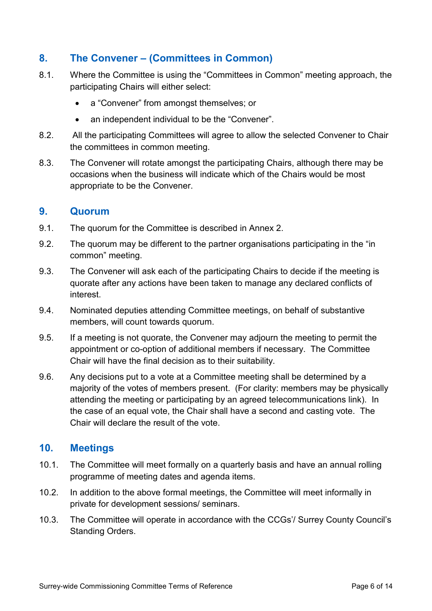### **8. The Convener – (Committees in Common)**

- 8.1. Where the Committee is using the "Committees in Common" meeting approach, the participating Chairs will either select:
	- a "Convener" from amongst themselves; or
	- an independent individual to be the "Convener".
- 8.2. All the participating Committees will agree to allow the selected Convener to Chair the committees in common meeting.
- 8.3. The Convener will rotate amongst the participating Chairs, although there may be occasions when the business will indicate which of the Chairs would be most appropriate to be the Convener.

#### **9. Quorum**

- <span id="page-5-0"></span>9.1. The quorum for the Committee is described in [Annex 2.](#page-5-0)
- 9.2. The quorum may be different to the partner organisations participating in the "in common" meeting.
- 9.3. The Convener will ask each of the participating Chairs to decide if the meeting is quorate after any actions have been taken to manage any declared conflicts of interest.
- 9.4. Nominated deputies attending Committee meetings, on behalf of substantive members, will count towards quorum.
- 9.5. If a meeting is not quorate, the Convener may adjourn the meeting to permit the appointment or co-option of additional members if necessary. The Committee Chair will have the final decision as to their suitability.
- 9.6. Any decisions put to a vote at a Committee meeting shall be determined by a majority of the votes of members present. (For clarity: members may be physically attending the meeting or participating by an agreed telecommunications link). In the case of an equal vote, the Chair shall have a second and casting vote. The Chair will declare the result of the vote.

### **10. Meetings**

- 10.1. The Committee will meet formally on a quarterly basis and have an annual rolling programme of meeting dates and agenda items.
- 10.2. In addition to the above formal meetings, the Committee will meet informally in private for development sessions/ seminars.
- 10.3. The Committee will operate in accordance with the CCGs'/ Surrey County Council's Standing Orders.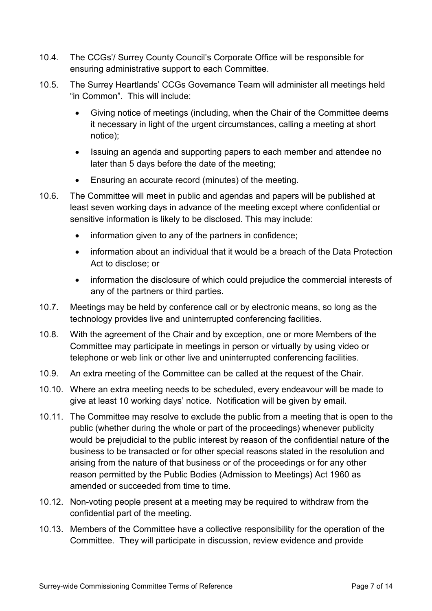- 10.4. The CCGs'/ Surrey County Council's Corporate Office will be responsible for ensuring administrative support to each Committee.
- 10.5. The Surrey Heartlands' CCGs Governance Team will administer all meetings held "in Common". This will include:
	- Giving notice of meetings (including, when the Chair of the Committee deems it necessary in light of the urgent circumstances, calling a meeting at short notice);
	- Issuing an agenda and supporting papers to each member and attendee no later than 5 days before the date of the meeting;
	- Ensuring an accurate record (minutes) of the meeting.
- 10.6. The Committee will meet in public and agendas and papers will be published at least seven working days in advance of the meeting except where confidential or sensitive information is likely to be disclosed. This may include:
	- information given to any of the partners in confidence;
	- information about an individual that it would be a breach of the Data Protection Act to disclose; or
	- information the disclosure of which could prejudice the commercial interests of any of the partners or third parties.
- 10.7. Meetings may be held by conference call or by electronic means, so long as the technology provides live and uninterrupted conferencing facilities.
- 10.8. With the agreement of the Chair and by exception, one or more Members of the Committee may participate in meetings in person or virtually by using video or telephone or web link or other live and uninterrupted conferencing facilities.
- 10.9. An extra meeting of the Committee can be called at the request of the Chair.
- 10.10. Where an extra meeting needs to be scheduled, every endeavour will be made to give at least 10 working days' notice. Notification will be given by email.
- 10.11. The Committee may resolve to exclude the public from a meeting that is open to the public (whether during the whole or part of the proceedings) whenever publicity would be prejudicial to the public interest by reason of the confidential nature of the business to be transacted or for other special reasons stated in the resolution and arising from the nature of that business or of the proceedings or for any other reason permitted by the Public Bodies (Admission to Meetings) Act 1960 as amended or succeeded from time to time.
- 10.12. Non-voting people present at a meeting may be required to withdraw from the confidential part of the meeting.
- 10.13. Members of the Committee have a collective responsibility for the operation of the Committee. They will participate in discussion, review evidence and provide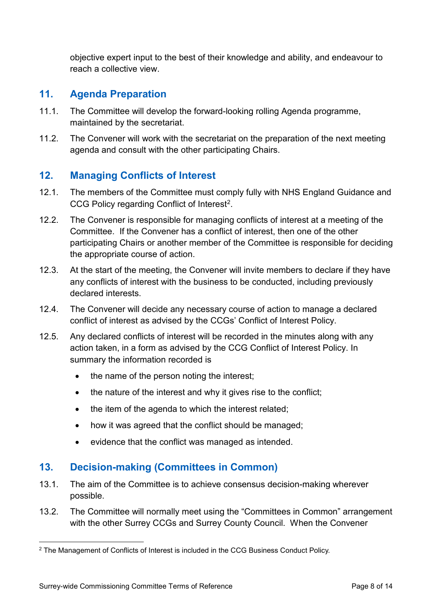objective expert input to the best of their knowledge and ability, and endeavour to reach a collective view.

#### **11. Agenda Preparation**

- 11.1. The Committee will develop the forward-looking rolling Agenda programme, maintained by the secretariat.
- 11.2. The Convener will work with the secretariat on the preparation of the next meeting agenda and consult with the other participating Chairs.

### **12. Managing Conflicts of Interest**

- 12.1. The members of the Committee must comply fully with NHS England Guidance and CCG Policy regarding Conflict of Interest<sup>2</sup>.
- 12.2. The Convener is responsible for managing conflicts of interest at a meeting of the Committee. If the Convener has a conflict of interest, then one of the other participating Chairs or another member of the Committee is responsible for deciding the appropriate course of action.
- 12.3. At the start of the meeting, the Convener will invite members to declare if they have any conflicts of interest with the business to be conducted, including previously declared interests.
- 12.4. The Convener will decide any necessary course of action to manage a declared conflict of interest as advised by the CCGs' Conflict of Interest Policy.
- 12.5. Any declared conflicts of interest will be recorded in the minutes along with any action taken, in a form as advised by the CCG Conflict of Interest Policy. In summary the information recorded is
	- the name of the person noting the interest;
	- the nature of the interest and why it gives rise to the conflict;
	- the item of the agenda to which the interest related;
	- how it was agreed that the conflict should be managed;
	- evidence that the conflict was managed as intended.

### **13. Decision-making (Committees in Common)**

- 13.1. The aim of the Committee is to achieve consensus decision-making wherever possible.
- 13.2. The Committee will normally meet using the "Committees in Common" arrangement with the other Surrey CCGs and Surrey County Council. When the Convener

<span id="page-7-0"></span><sup>&</sup>lt;sup>2</sup> The Management of Conflicts of Interest is included in the CCG Business Conduct Policy.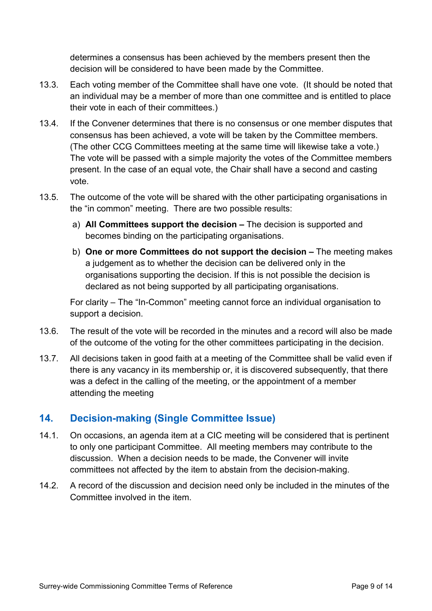determines a consensus has been achieved by the members present then the decision will be considered to have been made by the Committee.

- 13.3. Each voting member of the Committee shall have one vote. (It should be noted that an individual may be a member of more than one committee and is entitled to place their vote in each of their committees.)
- 13.4. If the Convener determines that there is no consensus or one member disputes that consensus has been achieved, a vote will be taken by the Committee members. (The other CCG Committees meeting at the same time will likewise take a vote.) The vote will be passed with a simple majority the votes of the Committee members present. In the case of an equal vote, the Chair shall have a second and casting vote.
- 13.5. The outcome of the vote will be shared with the other participating organisations in the "in common" meeting. There are two possible results:
	- a) **All Committees support the decision –** The decision is supported and becomes binding on the participating organisations.
	- b) **One or more Committees do not support the decision –** The meeting makes a judgement as to whether the decision can be delivered only in the organisations supporting the decision. If this is not possible the decision is declared as not being supported by all participating organisations.

For clarity – The "In-Common" meeting cannot force an individual organisation to support a decision.

- 13.6. The result of the vote will be recorded in the minutes and a record will also be made of the outcome of the voting for the other committees participating in the decision.
- 13.7. All decisions taken in good faith at a meeting of the Committee shall be valid even if there is any vacancy in its membership or, it is discovered subsequently, that there was a defect in the calling of the meeting, or the appointment of a member attending the meeting

### **14. Decision-making (Single Committee Issue)**

- 14.1. On occasions, an agenda item at a CIC meeting will be considered that is pertinent to only one participant Committee. All meeting members may contribute to the discussion. When a decision needs to be made, the Convener will invite committees not affected by the item to abstain from the decision-making.
- 14.2. A record of the discussion and decision need only be included in the minutes of the Committee involved in the item.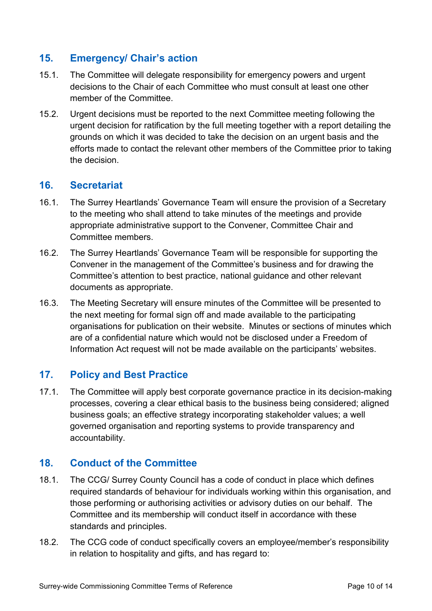### **15. Emergency/ Chair's action**

- 15.1. The Committee will delegate responsibility for emergency powers and urgent decisions to the Chair of each Committee who must consult at least one other member of the Committee.
- 15.2. Urgent decisions must be reported to the next Committee meeting following the urgent decision for ratification by the full meeting together with a report detailing the grounds on which it was decided to take the decision on an urgent basis and the efforts made to contact the relevant other members of the Committee prior to taking the decision.

#### **16. Secretariat**

- 16.1. The Surrey Heartlands' Governance Team will ensure the provision of a Secretary to the meeting who shall attend to take minutes of the meetings and provide appropriate administrative support to the Convener, Committee Chair and Committee members.
- 16.2. The Surrey Heartlands' Governance Team will be responsible for supporting the Convener in the management of the Committee's business and for drawing the Committee's attention to best practice, national guidance and other relevant documents as appropriate.
- 16.3. The Meeting Secretary will ensure minutes of the Committee will be presented to the next meeting for formal sign off and made available to the participating organisations for publication on their website. Minutes or sections of minutes which are of a confidential nature which would not be disclosed under a Freedom of Information Act request will not be made available on the participants' websites.

### **17. Policy and Best Practice**

17.1. The Committee will apply best corporate governance practice in its decision-making processes, covering a clear ethical basis to the business being considered; aligned business goals; an effective strategy incorporating stakeholder values; a well governed organisation and reporting systems to provide transparency and accountability.

### **18. Conduct of the Committee**

- 18.1. The CCG/ Surrey County Council has a code of conduct in place which defines required standards of behaviour for individuals working within this organisation, and those performing or authorising activities or advisory duties on our behalf. The Committee and its membership will conduct itself in accordance with these standards and principles.
- 18.2. The CCG code of conduct specifically covers an employee/member's responsibility in relation to hospitality and gifts, and has regard to: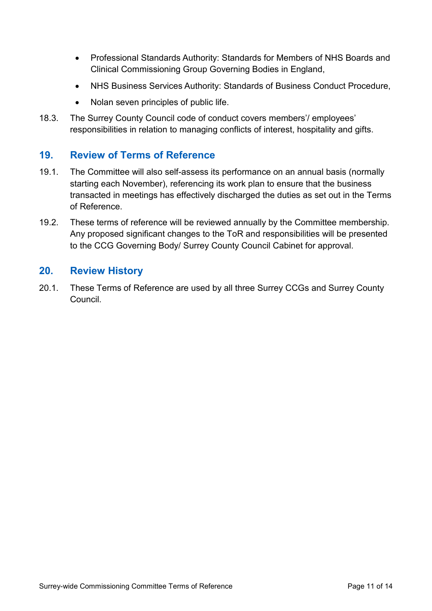- Professional Standards Authority: Standards for Members of NHS Boards and Clinical Commissioning Group Governing Bodies in England,
- NHS Business Services Authority: Standards of Business Conduct Procedure,
- Nolan seven principles of public life.
- 18.3. The Surrey County Council code of conduct covers members'/ employees' responsibilities in relation to managing conflicts of interest, hospitality and gifts.

#### **19. Review of Terms of Reference**

- 19.1. The Committee will also self-assess its performance on an annual basis (normally starting each November), referencing its work plan to ensure that the business transacted in meetings has effectively discharged the duties as set out in the Terms of Reference.
- 19.2. These terms of reference will be reviewed annually by the Committee membership. Any proposed significant changes to the ToR and responsibilities will be presented to the CCG Governing Body/ Surrey County Council Cabinet for approval.

#### **20. Review History**

20.1. These Terms of Reference are used by all three Surrey CCGs and Surrey County Council.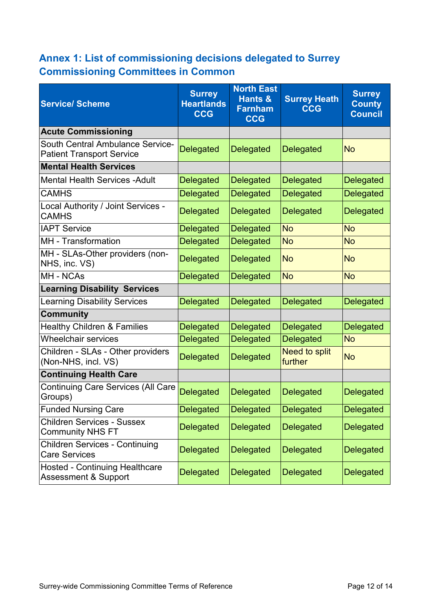# **Annex 1: List of commissioning decisions delegated to Surrey Commissioning Committees in Common**

| <b>Service/Scheme</b>                                                       | <b>Surrey</b><br><b>Heartlands</b><br><b>CCG</b> | <b>North East</b><br>Hants &<br><b>Farnham</b><br><b>CCG</b> | <b>Surrey Heath</b><br><b>CCG</b> | <b>Surrey</b><br><b>County</b><br><b>Council</b> |
|-----------------------------------------------------------------------------|--------------------------------------------------|--------------------------------------------------------------|-----------------------------------|--------------------------------------------------|
| <b>Acute Commissioning</b>                                                  |                                                  |                                                              |                                   |                                                  |
| <b>South Central Ambulance Service-</b><br><b>Patient Transport Service</b> | <b>Delegated</b>                                 | <b>Delegated</b>                                             | <b>Delegated</b>                  | <b>No</b>                                        |
| <b>Mental Health Services</b>                                               |                                                  |                                                              |                                   |                                                  |
| <b>Mental Health Services - Adult</b>                                       | <b>Delegated</b>                                 | <b>Delegated</b>                                             | <b>Delegated</b>                  | <b>Delegated</b>                                 |
| <b>CAMHS</b>                                                                | <b>Delegated</b>                                 | <b>Delegated</b>                                             | <b>Delegated</b>                  | <b>Delegated</b>                                 |
| Local Authority / Joint Services -<br><b>CAMHS</b>                          | <b>Delegated</b>                                 | <b>Delegated</b>                                             | <b>Delegated</b>                  | <b>Delegated</b>                                 |
| <b>IAPT Service</b>                                                         | <b>Delegated</b>                                 | <b>Delegated</b>                                             | <b>No</b>                         | <b>No</b>                                        |
| MH - Transformation                                                         | <b>Delegated</b>                                 | <b>Delegated</b>                                             | <b>No</b>                         | <b>No</b>                                        |
| MH - SLAs-Other providers (non-<br>NHS, inc. VS)                            | <b>Delegated</b>                                 | <b>Delegated</b>                                             | <b>No</b>                         | <b>No</b>                                        |
| MH - NCAs                                                                   | <b>Delegated</b>                                 | <b>Delegated</b>                                             | <b>No</b>                         | <b>No</b>                                        |
| <b>Learning Disability Services</b>                                         |                                                  |                                                              |                                   |                                                  |
| <b>Learning Disability Services</b>                                         | <b>Delegated</b>                                 | <b>Delegated</b>                                             | <b>Delegated</b>                  | <b>Delegated</b>                                 |
| <b>Community</b>                                                            |                                                  |                                                              |                                   |                                                  |
| <b>Healthy Children &amp; Families</b>                                      | <b>Delegated</b>                                 | <b>Delegated</b>                                             | <b>Delegated</b>                  | <b>Delegated</b>                                 |
| <b>Wheelchair services</b>                                                  | <b>Delegated</b>                                 | <b>Delegated</b>                                             | <b>Delegated</b>                  | <b>No</b>                                        |
| Children - SLAs - Other providers<br>(Non-NHS, incl. VS)                    | <b>Delegated</b>                                 | <b>Delegated</b>                                             | <b>Need to split</b><br>further   | <b>No</b>                                        |
| <b>Continuing Health Care</b>                                               |                                                  |                                                              |                                   |                                                  |
| <b>Continuing Care Services (All Care</b><br>Groups)                        | <b>Delegated</b>                                 | <b>Delegated</b>                                             | <b>Delegated</b>                  | <b>Delegated</b>                                 |
| <b>Funded Nursing Care</b>                                                  | <b>Delegated</b>                                 | <b>Delegated</b>                                             | <b>Delegated</b>                  | <b>Delegated</b>                                 |
| <b>Children Services - Sussex</b><br><b>Community NHS FT</b>                | <b>Delegated</b>                                 | <b>Delegated</b>                                             | <b>Delegated</b>                  | <b>Delegated</b>                                 |
| <b>Children Services - Continuing</b><br><b>Care Services</b>               | <b>Delegated</b>                                 | <b>Delegated</b>                                             | <b>Delegated</b>                  | <b>Delegated</b>                                 |
| <b>Hosted - Continuing Healthcare</b><br><b>Assessment &amp; Support</b>    | <b>Delegated</b>                                 | <b>Delegated</b>                                             | <b>Delegated</b>                  | <b>Delegated</b>                                 |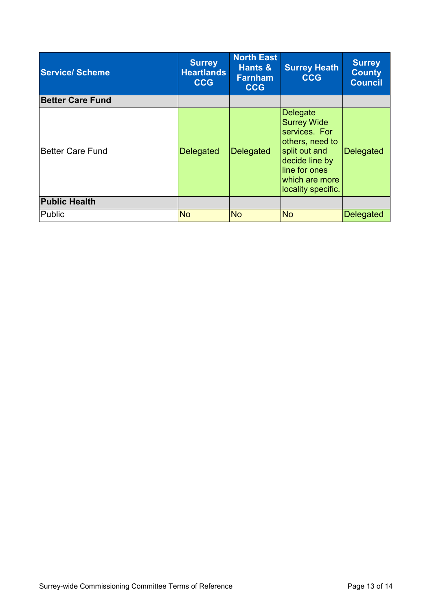| <b>Service/Scheme</b>   | <b>Surrey</b><br><b>Heartlands</b><br><b>CCG</b> | <b>North East</b><br>Hants &<br><b>Farnham</b><br><b>CCG</b> | <b>Surrey Heath</b><br><b>CCG</b>                                                                                                                               | <b>Surrey</b><br><b>County</b><br><b>Council</b> |
|-------------------------|--------------------------------------------------|--------------------------------------------------------------|-----------------------------------------------------------------------------------------------------------------------------------------------------------------|--------------------------------------------------|
| <b>Better Care Fund</b> |                                                  |                                                              |                                                                                                                                                                 |                                                  |
| <b>Better Care Fund</b> | <b>Delegated</b>                                 | <b>Delegated</b>                                             | Delegate<br><b>Surrey Wide</b><br>services. For<br>others, need to<br>split out and<br>decide line by<br>lline for ones<br>which are more<br>locality specific. | <b>Delegated</b>                                 |
| <b>Public Health</b>    |                                                  |                                                              |                                                                                                                                                                 |                                                  |
| Public                  | <b>No</b>                                        | <b>No</b>                                                    | <b>No</b>                                                                                                                                                       | <b>Delegated</b>                                 |